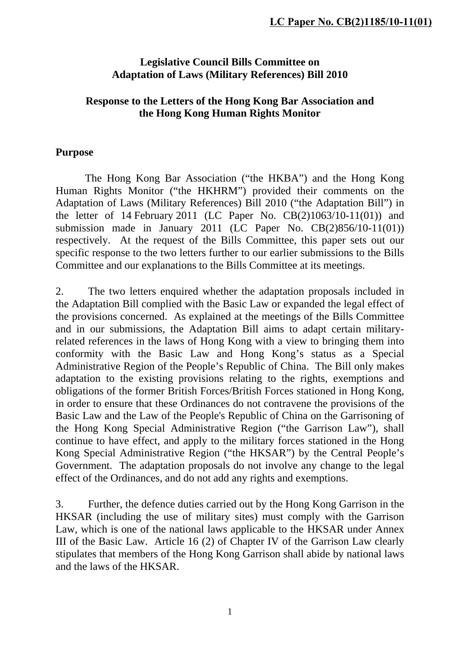## **Legislative Council Bills Committee on Adaptation of Laws (Military References) Bill 2010**

## **Response to the Letters of the Hong Kong Bar Association and the Hong Kong Human Rights Monitor**

## **Purpose**

The Hong Kong Bar Association ("the HKBA") and the Hong Kong Human Rights Monitor ("the HKHRM") provided their comments on the Adaptation of Laws (Military References) Bill 2010 ("the Adaptation Bill") in the letter of 14 February 2011 (LC Paper No.  $CB(2)1063/10-11(01)$ ) and submission made in January 2011 (LC Paper No. CB(2)856/10-11(01)) respectively. At the request of the Bills Committee, this paper sets out our specific response to the two letters further to our earlier submissions to the Bills Committee and our explanations to the Bills Committee at its meetings.

2. The two letters enquired whether the adaptation proposals included in the Adaptation Bill complied with the Basic Law or expanded the legal effect of the provisions concerned. As explained at the meetings of the Bills Committee and in our submissions, the Adaptation Bill aims to adapt certain militaryrelated references in the laws of Hong Kong with a view to bringing them into conformity with the Basic Law and Hong Kong's status as a Special Administrative Region of the People's Republic of China. The Bill only makes adaptation to the existing provisions relating to the rights, exemptions and obligations of the former British Forces/British Forces stationed in Hong Kong, in order to ensure that these Ordinances do not contravene the provisions of the Basic Law and the Law of the People's Republic of China on the Garrisoning of the Hong Kong Special Administrative Region ("the Garrison Law"), shall continue to have effect, and apply to the military forces stationed in the Hong Kong Special Administrative Region ("the HKSAR") by the Central People's Government. The adaptation proposals do not involve any change to the legal effect of the Ordinances, and do not add any rights and exemptions.

3. Further, the defence duties carried out by the Hong Kong Garrison in the HKSAR (including the use of military sites) must comply with the Garrison Law, which is one of the national laws applicable to the HKSAR under Annex III of the Basic Law. Article 16 (2) of Chapter IV of the Garrison Law clearly stipulates that members of the Hong Kong Garrison shall abide by national laws and the laws of the HKSAR.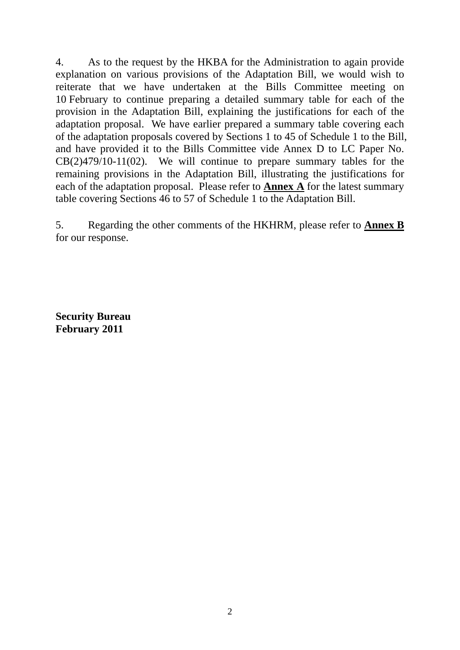4. As to the request by the HKBA for the Administration to again provide explanation on various provisions of the Adaptation Bill, we would wish to reiterate that we have undertaken at the Bills Committee meeting on 10 February to continue preparing a detailed summary table for each of the provision in the Adaptation Bill, explaining the justifications for each of the adaptation proposal. We have earlier prepared a summary table covering each of the adaptation proposals covered by Sections 1 to 45 of Schedule 1 to the Bill, and have provided it to the Bills Committee vide Annex D to LC Paper No. CB(2)479/10-11(02). We will continue to prepare summary tables for the remaining provisions in the Adaptation Bill, illustrating the justifications for each of the adaptation proposal. Please refer to **Annex A** for the latest summary table covering Sections 46 to 57 of Schedule 1 to the Adaptation Bill.

5. Regarding the other comments of the HKHRM, please refer to **Annex B** for our response.

**Security Bureau February 2011**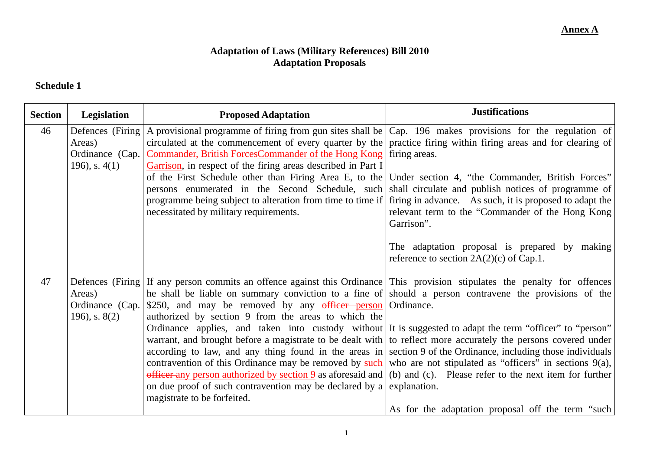### **Adaptation of Laws (Military References) Bill 2010 Adaptation Proposals**

#### **Schedule 1**

| <b>Section</b> | Legislation     | <b>Proposed Adaptation</b>                                                                                                                                                                                                | <b>Justifications</b>                             |
|----------------|-----------------|---------------------------------------------------------------------------------------------------------------------------------------------------------------------------------------------------------------------------|---------------------------------------------------|
| 46             |                 | Defences (Firing A provisional programme of firing from gun sites shall be $ Cap. 196$ makes provisions for the regulation of                                                                                             |                                                   |
|                | Areas)          | circulated at the commencement of every quarter by the   practice firing within firing areas and for clearing of                                                                                                          |                                                   |
|                | Ordinance (Cap. | Commander, British Forces Commander of the Hong Kong firing areas.                                                                                                                                                        |                                                   |
|                | 196), s. $4(1)$ | Garrison, in respect of the firing areas described in Part I                                                                                                                                                              |                                                   |
|                |                 | of the First Schedule other than Firing Area E, to the Under section 4, "the Commander, British Forces"                                                                                                                   |                                                   |
|                |                 | persons enumerated in the Second Schedule, such shall circulate and publish notices of programme of<br>programme being subject to alteration from time to time if firing in advance. As such, it is proposed to adapt the |                                                   |
|                |                 | necessitated by military requirements.                                                                                                                                                                                    | relevant term to the "Commander of the Hong Kong  |
|                |                 |                                                                                                                                                                                                                           | Garrison".                                        |
|                |                 |                                                                                                                                                                                                                           |                                                   |
|                |                 |                                                                                                                                                                                                                           | The adaptation proposal is prepared by making     |
|                |                 |                                                                                                                                                                                                                           | reference to section $2A(2)(c)$ of Cap.1.         |
|                |                 |                                                                                                                                                                                                                           |                                                   |
| 47             |                 | Defences (Firing If any person commits an offence against this Ordinance This provision stipulates the penalty for offences                                                                                               |                                                   |
|                | Areas)          | he shall be liable on summary conviction to a fine of should a person contravene the provisions of the                                                                                                                    |                                                   |
|                |                 | Ordinance (Cap. $\frac{1}{250}$ , and may be removed by any officer person Ordinance.                                                                                                                                     |                                                   |
|                | 196), s. $8(2)$ | authorized by section 9 from the areas to which the<br>Ordinance applies, and taken into custody without It is suggested to adapt the term "officer" to "person"                                                          |                                                   |
|                |                 | warrant, and brought before a magistrate to be dealt with to reflect more accurately the persons covered under                                                                                                            |                                                   |
|                |                 | according to law, and any thing found in the areas in section 9 of the Ordinance, including those individuals                                                                                                             |                                                   |
|                |                 | contravention of this Ordinance may be removed by such who are not stipulated as "officers" in sections $9(a)$ ,                                                                                                          |                                                   |
|                |                 | officer any person authorized by section 9 as aforesaid and $(6)$ and $(c)$ . Please refer to the next item for further                                                                                                   |                                                   |
|                |                 | on due proof of such contravention may be declared by a explanation.                                                                                                                                                      |                                                   |
|                |                 | magistrate to be forfeited.                                                                                                                                                                                               |                                                   |
|                |                 |                                                                                                                                                                                                                           | As for the adaptation proposal off the term "such |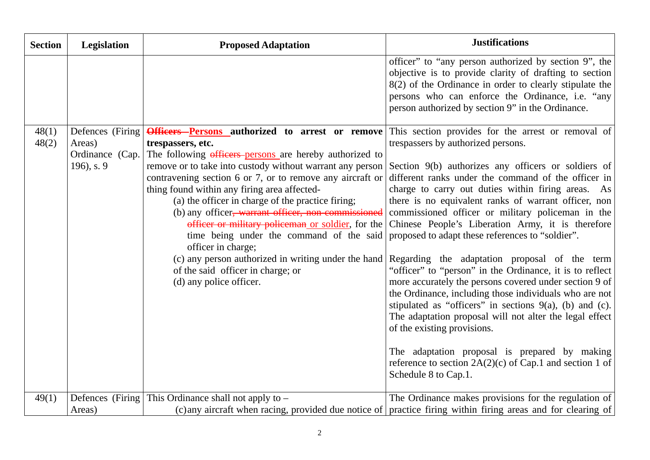| <b>Section</b> | Legislation                                                     | <b>Proposed Adaptation</b>                                                                                                                                                                                                                                                                                                                                                                                                                                                                                                                                                                                                                                         | <b>Justifications</b>                                                                                                                                                                                                                                                                                                                                                                                                                                                                                                                                                                                                                                                                                                                                                                                                                                                                                                                                                                                             |
|----------------|-----------------------------------------------------------------|--------------------------------------------------------------------------------------------------------------------------------------------------------------------------------------------------------------------------------------------------------------------------------------------------------------------------------------------------------------------------------------------------------------------------------------------------------------------------------------------------------------------------------------------------------------------------------------------------------------------------------------------------------------------|-------------------------------------------------------------------------------------------------------------------------------------------------------------------------------------------------------------------------------------------------------------------------------------------------------------------------------------------------------------------------------------------------------------------------------------------------------------------------------------------------------------------------------------------------------------------------------------------------------------------------------------------------------------------------------------------------------------------------------------------------------------------------------------------------------------------------------------------------------------------------------------------------------------------------------------------------------------------------------------------------------------------|
|                |                                                                 |                                                                                                                                                                                                                                                                                                                                                                                                                                                                                                                                                                                                                                                                    | officer" to "any person authorized by section 9", the<br>objective is to provide clarity of drafting to section<br>$8(2)$ of the Ordinance in order to clearly stipulate the<br>persons who can enforce the Ordinance, i.e. "any<br>person authorized by section 9" in the Ordinance.                                                                                                                                                                                                                                                                                                                                                                                                                                                                                                                                                                                                                                                                                                                             |
| 48(1)<br>48(2) | Defences (Firing)<br>Areas)<br>Ordinance (Cap.)<br>196), s. $9$ | Officers Persons authorized to arrest or remove<br>trespassers, etc.<br>The following officers-persons are hereby authorized to<br>remove or to take into custody without warrant any person<br>contravening section 6 or 7, or to remove any aircraft or<br>thing found within any firing area affected-<br>(a) the officer in charge of the practice firing;<br>(b) any officer, warrant officer, non-commissioned<br>officer or military policeman or soldier, for the<br>time being under the command of the said<br>officer in charge;<br>(c) any person authorized in writing under the hand<br>of the said officer in charge; or<br>(d) any police officer. | This section provides for the arrest or removal of<br>trespassers by authorized persons.<br>Section 9(b) authorizes any officers or soldiers of<br>different ranks under the command of the officer in<br>charge to carry out duties within firing areas. As<br>there is no equivalent ranks of warrant officer, non<br>commissioned officer or military policeman in the<br>Chinese People's Liberation Army, it is therefore<br>proposed to adapt these references to "soldier".<br>Regarding the adaptation proposal of the term<br>"officer" to "person" in the Ordinance, it is to reflect<br>more accurately the persons covered under section 9 of<br>the Ordinance, including those individuals who are not<br>stipulated as "officers" in sections $9(a)$ , (b) and (c).<br>The adaptation proposal will not alter the legal effect<br>of the existing provisions.<br>The adaptation proposal is prepared by making<br>reference to section $2A(2)(c)$ of Cap.1 and section 1 of<br>Schedule 8 to Cap.1. |
| 49(1)          | Areas)                                                          | Defences (Firing This Ordinance shall not apply to $-$                                                                                                                                                                                                                                                                                                                                                                                                                                                                                                                                                                                                             | The Ordinance makes provisions for the regulation of<br>(c) any aircraft when racing, provided due notice of practice firing within firing areas and for clearing of                                                                                                                                                                                                                                                                                                                                                                                                                                                                                                                                                                                                                                                                                                                                                                                                                                              |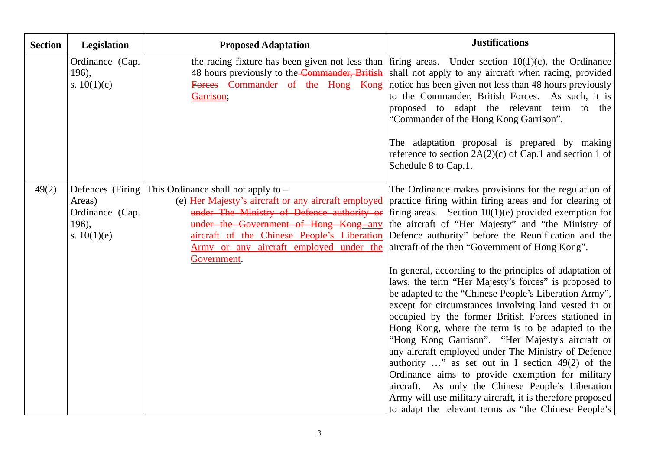| <b>Section</b> | <b>Legislation</b>                                  | <b>Proposed Adaptation</b>                                                                                                                                                                                                                                                                                    | <b>Justifications</b>                                                                                                                                                                                                                                                                                                                                                                                                                                                                                                                                                                                                                                                                                                                                                                                                                                                                                                                                                                                                                                                                     |
|----------------|-----------------------------------------------------|---------------------------------------------------------------------------------------------------------------------------------------------------------------------------------------------------------------------------------------------------------------------------------------------------------------|-------------------------------------------------------------------------------------------------------------------------------------------------------------------------------------------------------------------------------------------------------------------------------------------------------------------------------------------------------------------------------------------------------------------------------------------------------------------------------------------------------------------------------------------------------------------------------------------------------------------------------------------------------------------------------------------------------------------------------------------------------------------------------------------------------------------------------------------------------------------------------------------------------------------------------------------------------------------------------------------------------------------------------------------------------------------------------------------|
|                | Ordinance (Cap.<br>196),<br>s. $10(1)(c)$           | the racing fixture has been given not less than<br>48 hours previously to the Commander, British<br>Forces Commander of the Hong Kong<br>Garrison;                                                                                                                                                            | firing areas. Under section $10(1)(c)$ , the Ordinance<br>shall not apply to any aircraft when racing, provided<br>notice has been given not less than 48 hours previously<br>to the Commander, British Forces. As such, it is<br>proposed to adapt the relevant term to the<br>"Commander of the Hong Kong Garrison".<br>The adaptation proposal is prepared by making<br>reference to section $2A(2)(c)$ of Cap.1 and section 1 of<br>Schedule 8 to Cap.1.                                                                                                                                                                                                                                                                                                                                                                                                                                                                                                                                                                                                                              |
| 49(2)          | Areas)<br>Ordinance (Cap.<br>196),<br>s. $10(1)(e)$ | Defences (Firing This Ordinance shall not apply to $-$<br>(e) Her Majesty's aircraft or any aircraft employed<br>under The Ministry of Defence authority or<br>under the Government of Hong Kong any<br>aircraft of the Chinese People's Liberation<br>Army or any aircraft employed under the<br>Government. | The Ordinance makes provisions for the regulation of<br>practice firing within firing areas and for clearing of<br>firing areas. Section $10(1)(e)$ provided exemption for<br>the aircraft of "Her Majesty" and "the Ministry of<br>Defence authority" before the Reunification and the<br>aircraft of the then "Government of Hong Kong".<br>In general, according to the principles of adaptation of<br>laws, the term "Her Majesty's forces" is proposed to<br>be adapted to the "Chinese People's Liberation Army",<br>except for circumstances involving land vested in or<br>occupied by the former British Forces stationed in<br>Hong Kong, where the term is to be adapted to the<br>"Hong Kong Garrison". "Her Majesty's aircraft or<br>any aircraft employed under The Ministry of Defence<br>authority " as set out in I section $49(2)$ of the<br>Ordinance aims to provide exemption for military<br>aircraft. As only the Chinese People's Liberation<br>Army will use military aircraft, it is therefore proposed<br>to adapt the relevant terms as "the Chinese People's |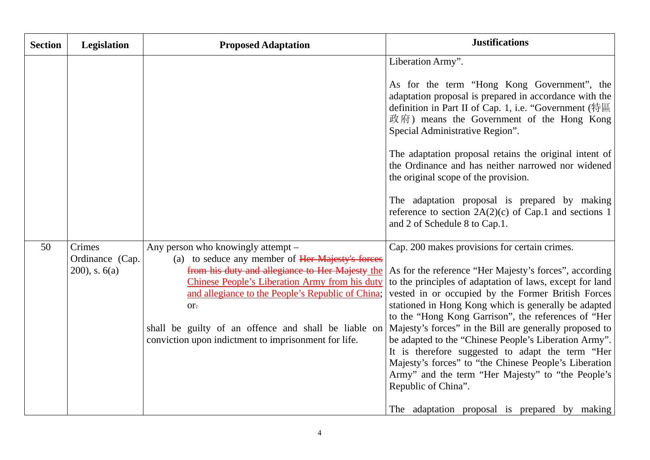| <b>Section</b> | <b>Legislation</b>                             | <b>Proposed Adaptation</b>                                                                                                                                                                                                                                                                                                                                                              | <b>Justifications</b>                                                                                                                                                                                                                                                                                                                                                                                                                                                                                                                                                                                                                                                                                  |
|----------------|------------------------------------------------|-----------------------------------------------------------------------------------------------------------------------------------------------------------------------------------------------------------------------------------------------------------------------------------------------------------------------------------------------------------------------------------------|--------------------------------------------------------------------------------------------------------------------------------------------------------------------------------------------------------------------------------------------------------------------------------------------------------------------------------------------------------------------------------------------------------------------------------------------------------------------------------------------------------------------------------------------------------------------------------------------------------------------------------------------------------------------------------------------------------|
|                |                                                |                                                                                                                                                                                                                                                                                                                                                                                         | Liberation Army".<br>As for the term "Hong Kong Government", the<br>adaptation proposal is prepared in accordance with the<br>definition in Part II of Cap. 1, i.e. "Government (特區<br>政府) means the Government of the Hong Kong<br>Special Administrative Region".<br>The adaptation proposal retains the original intent of<br>the Ordinance and has neither narrowed nor widened<br>the original scope of the provision.<br>The adaptation proposal is prepared by making<br>reference to section $2A(2)(c)$ of Cap.1 and sections 1<br>and 2 of Schedule 8 to Cap.1.                                                                                                                               |
| 50             | Crimes<br>Ordinance (Cap.<br>$200$ , s. $6(a)$ | Any person who knowingly attempt –<br>(a) to seduce any member of Her Majesty's forces<br>from his duty and allegiance to Her Majesty the<br>Chinese People's Liberation Army from his duty<br>and allegiance to the People's Republic of China;<br>$or_{\overline{t}}$<br>shall be guilty of an offence and shall be liable on<br>conviction upon indictment to imprisonment for life. | Cap. 200 makes provisions for certain crimes.<br>As for the reference "Her Majesty's forces", according<br>to the principles of adaptation of laws, except for land<br>vested in or occupied by the Former British Forces<br>stationed in Hong Kong which is generally be adapted<br>to the "Hong Kong Garrison", the references of "Her<br>Majesty's forces" in the Bill are generally proposed to<br>be adapted to the "Chinese People's Liberation Army".<br>It is therefore suggested to adapt the term "Her<br>Majesty's forces" to "the Chinese People's Liberation<br>Army" and the term "Her Majesty" to "the People's<br>Republic of China".<br>The adaptation proposal is prepared by making |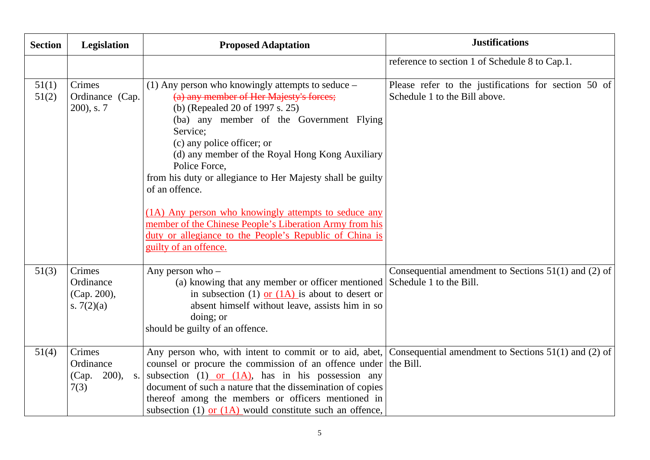| <b>Section</b> | <b>Legislation</b>                                              | <b>Proposed Adaptation</b>                                                                                                                                                                                                                                                                                                                                                                                                                                                                                                                                                       | <b>Justifications</b>                                                                 |
|----------------|-----------------------------------------------------------------|----------------------------------------------------------------------------------------------------------------------------------------------------------------------------------------------------------------------------------------------------------------------------------------------------------------------------------------------------------------------------------------------------------------------------------------------------------------------------------------------------------------------------------------------------------------------------------|---------------------------------------------------------------------------------------|
|                |                                                                 |                                                                                                                                                                                                                                                                                                                                                                                                                                                                                                                                                                                  | reference to section 1 of Schedule 8 to Cap.1.                                        |
| 51(1)<br>51(2) | Crimes<br>Ordinance (Cap.<br>$200$ , s. $7$                     | (1) Any person who knowingly attempts to seduce –<br>(a) any member of Her Majesty's forces;<br>(b) (Repealed 20 of 1997 s. 25)<br>(ba) any member of the Government Flying<br>Service;<br>(c) any police officer; or<br>(d) any member of the Royal Hong Kong Auxiliary<br>Police Force,<br>from his duty or allegiance to Her Majesty shall be guilty<br>of an offence.<br>(1A) Any person who knowingly attempts to seduce any<br>member of the Chinese People's Liberation Army from his<br>duty or allegiance to the People's Republic of China is<br>guilty of an offence. | Please refer to the justifications for section 50 of<br>Schedule 1 to the Bill above. |
| 51(3)          | Crimes<br>Ordinance<br>(Cap. 200),<br>s. $7(2)(a)$              | Any person who $-$<br>(a) knowing that any member or officer mentioned Schedule 1 to the Bill.<br>in subsection (1) or $(1)$ is about to desert or<br>absent himself without leave, assists him in so<br>doing; or<br>should be guilty of an offence.                                                                                                                                                                                                                                                                                                                            | Consequential amendment to Sections $51(1)$ and (2) of                                |
| 51(4)          | Crimes<br>Ordinance<br>200),<br>(Cap.<br>S <sub>1</sub><br>7(3) | Any person who, with intent to commit or to aid, abet, Consequential amendment to Sections $51(1)$ and (2) of<br>counsel or procure the commission of an offence under the Bill.<br>subsection $(1)$ or $(1A)$ , has in his possession any<br>document of such a nature that the dissemination of copies<br>thereof among the members or officers mentioned in<br>subsection (1) or $(1A)$ would constitute such an offence,                                                                                                                                                     |                                                                                       |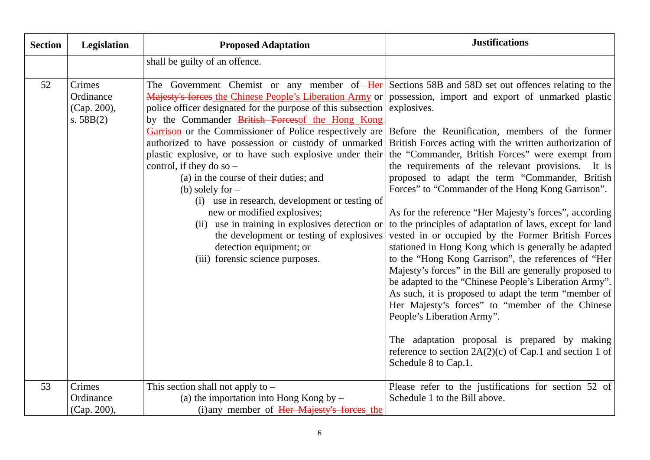| <b>Section</b> | Legislation                                       | <b>Proposed Adaptation</b>                                                                                                                                                                                                                                                                                                                                                                                                                                                                                                                                                                                                                                                                                                                                                                                                                                         | <b>Justifications</b>                                                                                                                                                                                                                                                                                                                                                                                                                                                                                                                                                                                                                                                                                                                                                                                                                                                                                                                                                                                                                    |
|----------------|---------------------------------------------------|--------------------------------------------------------------------------------------------------------------------------------------------------------------------------------------------------------------------------------------------------------------------------------------------------------------------------------------------------------------------------------------------------------------------------------------------------------------------------------------------------------------------------------------------------------------------------------------------------------------------------------------------------------------------------------------------------------------------------------------------------------------------------------------------------------------------------------------------------------------------|------------------------------------------------------------------------------------------------------------------------------------------------------------------------------------------------------------------------------------------------------------------------------------------------------------------------------------------------------------------------------------------------------------------------------------------------------------------------------------------------------------------------------------------------------------------------------------------------------------------------------------------------------------------------------------------------------------------------------------------------------------------------------------------------------------------------------------------------------------------------------------------------------------------------------------------------------------------------------------------------------------------------------------------|
|                |                                                   | shall be guilty of an offence.                                                                                                                                                                                                                                                                                                                                                                                                                                                                                                                                                                                                                                                                                                                                                                                                                                     |                                                                                                                                                                                                                                                                                                                                                                                                                                                                                                                                                                                                                                                                                                                                                                                                                                                                                                                                                                                                                                          |
| 52             | Crimes<br>Ordinance<br>(Cap. 200),<br>s. $58B(2)$ | The Government Chemist or any member of Her Sections 58B and 58D set out offences relating to the<br>Majesty's forces the Chinese People's Liberation Army or possession, import and export of unmarked plastic<br>police officer designated for the purpose of this subsection<br>by the Commander British Forces of the Hong Kong<br>Garrison or the Commissioner of Police respectively are<br>authorized to have possession or custody of unmarked<br>plastic explosive, or to have such explosive under their<br>control, if they do so $-$<br>(a) in the course of their duties; and<br>(b) solely for $-$<br>(i) use in research, development or testing of<br>new or modified explosives;<br>use in training in explosives detection or<br>(ii)<br>the development or testing of explosives<br>detection equipment; or<br>(iii) forensic science purposes. | explosives.<br>Before the Reunification, members of the former<br>British Forces acting with the written authorization of<br>the "Commander, British Forces" were exempt from<br>the requirements of the relevant provisions. It is<br>proposed to adapt the term "Commander, British<br>Forces" to "Commander of the Hong Kong Garrison".<br>As for the reference "Her Majesty's forces", according<br>to the principles of adaptation of laws, except for land<br>vested in or occupied by the Former British Forces<br>stationed in Hong Kong which is generally be adapted<br>to the "Hong Kong Garrison", the references of "Her<br>Majesty's forces" in the Bill are generally proposed to<br>be adapted to the "Chinese People's Liberation Army".<br>As such, it is proposed to adapt the term "member of<br>Her Majesty's forces" to "member of the Chinese<br>People's Liberation Army".<br>The adaptation proposal is prepared by making<br>reference to section $2A(2)(c)$ of Cap.1 and section 1 of<br>Schedule 8 to Cap.1. |
| 53             | Crimes<br>Ordinance<br>$(Cap. 200)$ .             | This section shall not apply to $-$<br>(a) the importation into Hong Kong by $-$<br>(i) any member of Her Majesty's forces the                                                                                                                                                                                                                                                                                                                                                                                                                                                                                                                                                                                                                                                                                                                                     | Please refer to the justifications for section 52 of<br>Schedule 1 to the Bill above.                                                                                                                                                                                                                                                                                                                                                                                                                                                                                                                                                                                                                                                                                                                                                                                                                                                                                                                                                    |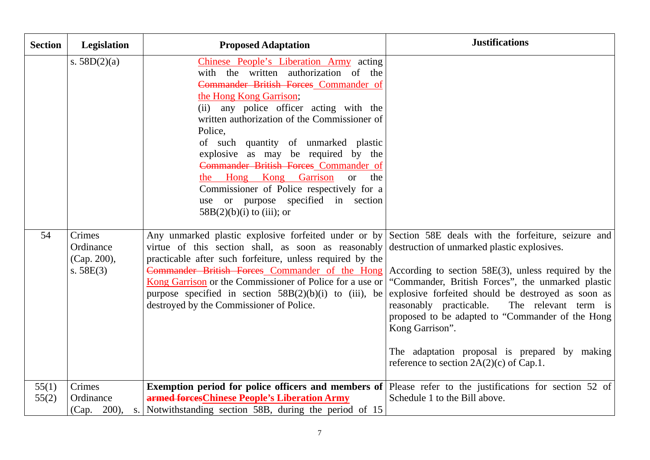| <b>Section</b> | Legislation                                       | <b>Proposed Adaptation</b>                                                                                                                                                                                                                                                                                                                                                                                                                                                                                                                                      | <b>Justifications</b>                                                                                                                                                                                                                                                                                                                                                                     |
|----------------|---------------------------------------------------|-----------------------------------------------------------------------------------------------------------------------------------------------------------------------------------------------------------------------------------------------------------------------------------------------------------------------------------------------------------------------------------------------------------------------------------------------------------------------------------------------------------------------------------------------------------------|-------------------------------------------------------------------------------------------------------------------------------------------------------------------------------------------------------------------------------------------------------------------------------------------------------------------------------------------------------------------------------------------|
|                | s. $58D(2)(a)$                                    | Chinese People's Liberation Army acting<br>with the written authorization of the<br>Commander British Forces Commander of<br>the Hong Kong Garrison;<br>(ii) any police officer acting with the<br>written authorization of the Commissioner of<br>Police,<br>of such quantity of unmarked plastic<br>explosive as may be required by the<br>Commander British Forces Commander of<br><b>Garrison</b><br>the Hong<br>Kong<br>$\alpha$<br>the<br>Commissioner of Police respectively for a<br>use or purpose specified in section<br>$58B(2)(b)(i)$ to (iii); or |                                                                                                                                                                                                                                                                                                                                                                                           |
| 54             | Crimes<br>Ordinance<br>(Cap. 200),<br>s. $58E(3)$ | Any unmarked plastic explosive forfeited under or by Section 58E deals with the forfeiture, seizure and<br>virtue of this section shall, as soon as reasonably destruction of unmarked plastic explosives.<br>practicable after such forfeiture, unless required by the<br>Commander British Forces Commander of the Hong<br>Kong Garrison or the Commissioner of Police for a use or<br>purpose specified in section $58B(2)(b)(i)$ to (iii), be<br>destroyed by the Commissioner of Police.                                                                   | According to section $58E(3)$ , unless required by the<br>"Commander, British Forces", the unmarked plastic<br>explosive forfeited should be destroyed as soon as<br>reasonably practicable.<br>The relevant term is<br>proposed to be adapted to "Commander of the Hong<br>Kong Garrison".<br>The adaptation proposal is prepared by making<br>reference to section $2A(2)(c)$ of Cap.1. |
| 55(1)<br>55(2) | Crimes<br>Ordinance<br>(Cap. 200),                | <b>Exemption period for police officers and members of</b> Please refer to the justifications for section 52 of<br>armed forcesChinese People's Liberation Army<br>s. Notwithstanding section 58B, during the period of 15                                                                                                                                                                                                                                                                                                                                      | Schedule 1 to the Bill above.                                                                                                                                                                                                                                                                                                                                                             |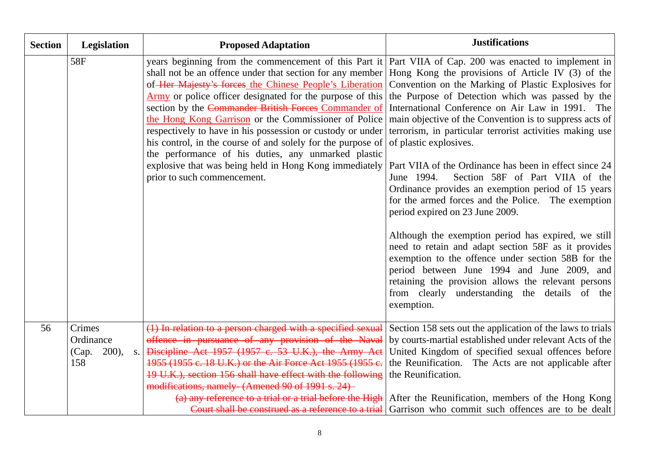| <b>Section</b> | Legislation                                       | <b>Proposed Adaptation</b>                                                                                                                                                                                                                                                                                                                                                                                                                                                                                                                                                                                                                                                                                                                                                                                                                                                                                                                                                                                                                                                                                   | <b>Justifications</b>                                                                                                                                                                                                                                                                                      |
|----------------|---------------------------------------------------|--------------------------------------------------------------------------------------------------------------------------------------------------------------------------------------------------------------------------------------------------------------------------------------------------------------------------------------------------------------------------------------------------------------------------------------------------------------------------------------------------------------------------------------------------------------------------------------------------------------------------------------------------------------------------------------------------------------------------------------------------------------------------------------------------------------------------------------------------------------------------------------------------------------------------------------------------------------------------------------------------------------------------------------------------------------------------------------------------------------|------------------------------------------------------------------------------------------------------------------------------------------------------------------------------------------------------------------------------------------------------------------------------------------------------------|
|                | 58F                                               | years beginning from the commencement of this Part it   Part VIIA of Cap. 200 was enacted to implement in<br>shall not be an offence under that section for any member Hong Kong the provisions of Article IV (3) of the<br>of Her Majesty's forces the Chinese People's Liberation Convention on the Marking of Plastic Explosives for<br>Army or police officer designated for the purpose of this the Purpose of Detection which was passed by the<br>section by the Commander British Forces Commander of International Conference on Air Law in 1991. The<br>the Hong Kong Garrison or the Commissioner of Police main objective of the Convention is to suppress acts of<br>respectively to have in his possession or custody or under terrorism, in particular terrorist activities making use<br>his control, in the course of and solely for the purpose of $\vert$ of plastic explosives.<br>the performance of his duties, any unmarked plastic<br>explosive that was being held in Hong Kong immediately   Part VIIA of the Ordinance has been in effect since 24<br>prior to such commencement. | Section 58F of Part VIIA of the<br>June 1994.<br>Ordinance provides an exemption period of 15 years<br>for the armed forces and the Police. The exemption<br>period expired on 23 June 2009.<br>Although the exemption period has expired, we still<br>need to retain and adapt section 58F as it provides |
|                |                                                   |                                                                                                                                                                                                                                                                                                                                                                                                                                                                                                                                                                                                                                                                                                                                                                                                                                                                                                                                                                                                                                                                                                              | exemption to the offence under section 58B for the<br>period between June 1994 and June 2009, and<br>retaining the provision allows the relevant persons<br>from clearly understanding the details of the<br>exemption.                                                                                    |
| 56             | Crimes<br>Ordinance<br>(Cap.<br>200,<br>S.<br>158 | (1) In relation to a person charged with a specified sexual<br>offence in pursuance of any provision of the Naval<br>Discipline Act 1957 (1957 c. 53 U.K.), the Army Act<br>1955 (1955 c. 18 U.K.) or the Air Force Act 1955 (1955 c.<br>19 U.K.), section 156 shall have effect with the following<br>modifications, namely (Amened 90 of 1991 s. 24)                                                                                                                                                                                                                                                                                                                                                                                                                                                                                                                                                                                                                                                                                                                                                       | Section 158 sets out the application of the laws to trials<br>by courts-martial established under relevant Acts of the<br>United Kingdom of specified sexual offences before<br>the Reunification. The Acts are not applicable after<br>the Reunification.                                                 |
|                |                                                   | (a) any reference to a trial or a trial before the High                                                                                                                                                                                                                                                                                                                                                                                                                                                                                                                                                                                                                                                                                                                                                                                                                                                                                                                                                                                                                                                      | After the Reunification, members of the Hong Kong<br>Court shall be construed as a reference to a trial Garrison who commit such offences are to be dealt                                                                                                                                                  |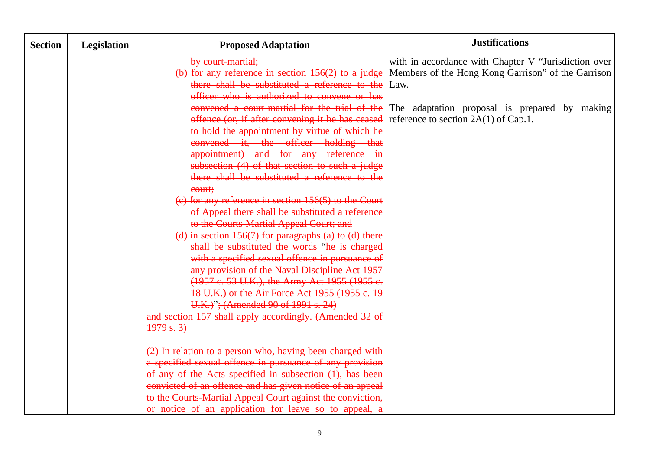| <b>Section</b> | Legislation | <b>Proposed Adaptation</b>                                 | <b>Justifications</b>                                |
|----------------|-------------|------------------------------------------------------------|------------------------------------------------------|
|                |             | by court martial;                                          | with in accordance with Chapter V "Jurisdiction over |
|                |             | (b) for any reference in section $156(2)$ to a judge       | Members of the Hong Kong Garrison" of the Garrison   |
|                |             | there shall be substituted a reference to the              | Law.                                                 |
|                |             | officer who is authorized to convene or has                |                                                      |
|                |             | convened a court-martial for the trial of the              | The adaptation proposal is prepared by making        |
|                |             | offence (or, if after convening it he has ceased           | reference to section $2A(1)$ of Cap.1.               |
|                |             | to hold the appointment by virtue of which he              |                                                      |
|                |             | convened it, the officer holding that                      |                                                      |
|                |             | appointment) and for any reference in                      |                                                      |
|                |             | subsection (4) of that section to such a judge             |                                                      |
|                |             | there shall be substituted a reference to the              |                                                      |
|                |             | court;                                                     |                                                      |
|                |             | $(e)$ for any reference in section 156(5) to the Court     |                                                      |
|                |             | of Appeal there shall be substituted a reference           |                                                      |
|                |             | to the Courts Martial Appeal Court; and                    |                                                      |
|                |             | (d) in section $156(7)$ for paragraphs (a) to (d) there    |                                                      |
|                |             | shall be substituted the words "he is charged              |                                                      |
|                |             | with a specified sexual offence in pursuance of            |                                                      |
|                |             | any provision of the Naval Discipline Act 1957             |                                                      |
|                |             | (1957 e. 53 U.K.), the Army Act 1955 (1955 e.              |                                                      |
|                |             | 18 U.K.) or the Air Force Act 1955 (1955 c. 19             |                                                      |
|                |             | U.K.)"; (Amended 90 of 1991 s. 24)                         |                                                      |
|                |             | and section 157 shall apply accordingly. (Amended 32 of    |                                                      |
|                |             | $\frac{1979 \text{ s. 3}}{2}$                              |                                                      |
|                |             | (2) In relation to a person who, having been charged with  |                                                      |
|                |             | a specified sexual offence in pursuance of any provision   |                                                      |
|                |             | of any of the Acts specified in subsection (1), has been   |                                                      |
|                |             | convicted of an offence and has given notice of an appeal  |                                                      |
|                |             | to the Courts Martial Appeal Court against the conviction, |                                                      |
|                |             | or notice of an application for leave so to appeal, a      |                                                      |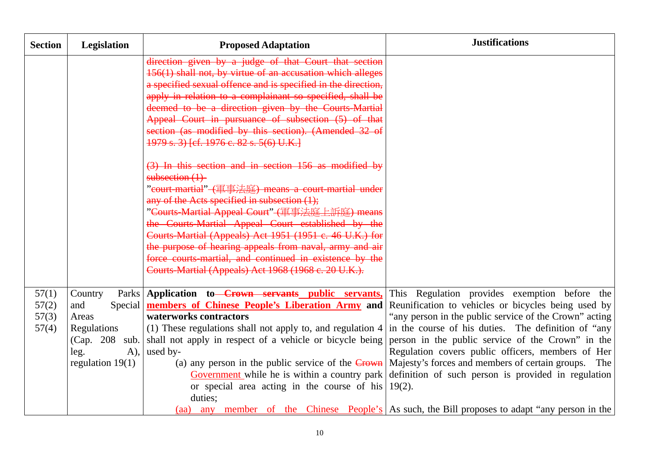| <b>Section</b>                   | Legislation                                                                                          | <b>Proposed Adaptation</b>                                                                                                                                                                                                                                                                                                                                                                                                                                                                                                      | <b>Justifications</b>                                                                                                                                                                                                                                                                                                                                                                                                                                                                                                                                                                        |
|----------------------------------|------------------------------------------------------------------------------------------------------|---------------------------------------------------------------------------------------------------------------------------------------------------------------------------------------------------------------------------------------------------------------------------------------------------------------------------------------------------------------------------------------------------------------------------------------------------------------------------------------------------------------------------------|----------------------------------------------------------------------------------------------------------------------------------------------------------------------------------------------------------------------------------------------------------------------------------------------------------------------------------------------------------------------------------------------------------------------------------------------------------------------------------------------------------------------------------------------------------------------------------------------|
|                                  |                                                                                                      | direction given by a judge of that Court that section<br>156(1) shall not, by virtue of an accusation which alleges<br>a specified sexual offence and is specified in the direction,<br>apply in relation to a complainant so specified, shall be<br>deemed to be a direction given by the Courts-Martial<br>Appeal Court in pursuance of subsection (5) of that<br>section (as modified by this section). (Amended 32 of<br>1979 s. 3) [cf. 1976 c. 82 s. 5(6) U.K.]                                                           |                                                                                                                                                                                                                                                                                                                                                                                                                                                                                                                                                                                              |
|                                  |                                                                                                      | (3) In this section and in section 156 as modified by<br>subsection $(1)$<br>"court martial" (軍事法庭) means a court martial under<br>any of the Acts specified in subsection (1);<br>"Courts Martial Appeal Court" (軍事法庭上訴庭) means<br>the Courts-Martial Appeal Court established by the<br>Courts Martial (Appeals) Act 1951 (1951 c. 46 U.K.) for<br>the purpose of hearing appeals from naval, army and air<br>force courts martial, and continued in existence by the<br>Courts Martial (Appeals) Act 1968 (1968 c. 20 U.K.). |                                                                                                                                                                                                                                                                                                                                                                                                                                                                                                                                                                                              |
| 57(1)<br>57(2)<br>57(3)<br>57(4) | Country<br>and<br>Areas<br>Regulations<br>(Cap. 208)<br>sub.<br>$A)$ ,<br>leg.<br>regulation $19(1)$ | Parks Application to Crown servants public servants,<br>Special <b>members of Chinese People's Liberation Army and</b><br>waterworks contractors<br>(1) These regulations shall not apply to, and regulation 4<br>shall not apply in respect of a vehicle or bicycle being<br>used by-<br>(a) any person in the public service of the $C_{\text{rown}}$<br>or special area acting in the course of his $19(2)$ .<br>duties;                                                                                                     | This Regulation provides exemption before the<br>Reunification to vehicles or bicycles being used by<br>"any person in the public service of the Crown" acting<br>in the course of his duties. The definition of "any<br>person in the public service of the Crown" in the<br>Regulation covers public officers, members of Her<br>Majesty's forces and members of certain groups. The<br>Government while he is within a country park definition of such person is provided in regulation<br>(aa) any member of the Chinese People's As such, the Bill proposes to adapt "any person in the |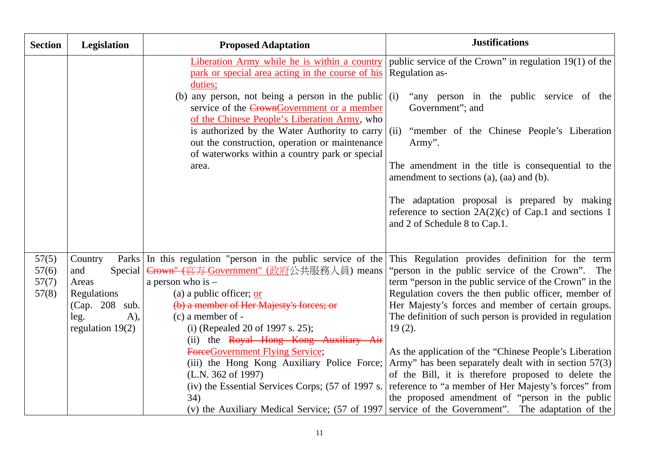| <b>Section</b>                   | Legislation                                                                                                  | <b>Proposed Adaptation</b>                                                                                                                                                                                                                                                                                                                                                                                                                | <b>Justifications</b>                                                                                                                                                                                                                                                                                                                                                                                                                                                                                                                                                                                                                                                                                                                                                                         |
|----------------------------------|--------------------------------------------------------------------------------------------------------------|-------------------------------------------------------------------------------------------------------------------------------------------------------------------------------------------------------------------------------------------------------------------------------------------------------------------------------------------------------------------------------------------------------------------------------------------|-----------------------------------------------------------------------------------------------------------------------------------------------------------------------------------------------------------------------------------------------------------------------------------------------------------------------------------------------------------------------------------------------------------------------------------------------------------------------------------------------------------------------------------------------------------------------------------------------------------------------------------------------------------------------------------------------------------------------------------------------------------------------------------------------|
|                                  |                                                                                                              | Liberation Army while he is within a country<br>park or special area acting in the course of his<br>duties;<br>(b) any person, not being a person in the public $(i)$<br>service of the CrownGovernment or a member<br>of the Chinese People's Liberation Army, who<br>is authorized by the Water Authority to carry $(iii)$<br>out the construction, operation or maintenance<br>of waterworks within a country park or special<br>area. | public service of the Crown" in regulation 19(1) of the<br><b>Regulation as-</b><br>"any person in the public service of the<br>Government"; and<br>"member of the Chinese People's Liberation<br>Army".<br>The amendment in the title is consequential to the<br>amendment to sections (a), (aa) and (b).<br>The adaptation proposal is prepared by making<br>reference to section $2A(2)(c)$ of Cap.1 and sections 1<br>and 2 of Schedule 8 to Cap.1.                                                                                                                                                                                                                                                                                                                                       |
| 57(5)<br>57(6)<br>57(7)<br>57(8) | Country<br>and<br>Special<br>Areas<br>Regulations<br>(Cap. 208)<br>sub.<br>leg.<br>A),<br>regulation $19(2)$ | Parks In this regulation "person in the public service of the<br>Crown" (官方-Government" (政府公共服務人員) means<br>a person who is $-$<br>(a) a public officer; or<br>(b) a member of Her Majesty's forces; or<br>$(c)$ a member of $-$<br>(i) (Repealed 20 of 1997 s. 25);<br>(ii) the Royal Hong Kong Auxiliary Air<br>ForceGovernment Flying Service;<br>(L.N. 362 of 1997)<br>(iv) the Essential Services Corps; (57 of 1997 s.<br>34)       | This Regulation provides definition for the term<br>"person in the public service of the Crown". The<br>term "person in the public service of the Crown" in the<br>Regulation covers the then public officer, member of<br>Her Majesty's forces and member of certain groups.<br>The definition of such person is provided in regulation<br>$19(2)$ .<br>As the application of the "Chinese People's Liberation"<br>(iii) the Hong Kong Auxiliary Police Force; Army" has been separately dealt with in section 57(3)<br>of the Bill, it is therefore proposed to delete the<br>reference to "a member of Her Majesty's forces" from<br>the proposed amendment of "person in the public<br>(v) the Auxiliary Medical Service; (57 of 1997   service of the Government". The adaptation of the |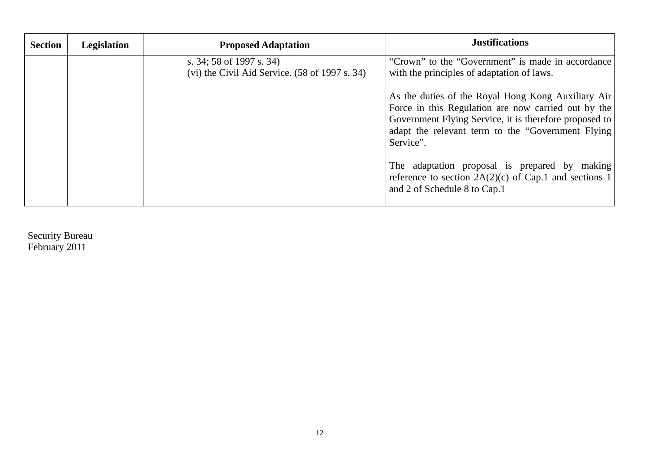| <b>Section</b> | Legislation | <b>Proposed Adaptation</b>                                                                       | <b>Justifications</b>                                                                                                                                                                                                                  |
|----------------|-------------|--------------------------------------------------------------------------------------------------|----------------------------------------------------------------------------------------------------------------------------------------------------------------------------------------------------------------------------------------|
|                |             | s. 34; 58 of 1997 s. 34)<br>$(vi)$ the Civil Aid Service. $(58 \text{ of } 1997 \text{ s. } 34)$ | "Crown" to the "Government" is made in accordance<br>with the principles of adaptation of laws.                                                                                                                                        |
|                |             |                                                                                                  | As the duties of the Royal Hong Kong Auxiliary Air<br>Force in this Regulation are now carried out by the<br>Government Flying Service, it is therefore proposed to<br>adapt the relevant term to the "Government Flying"<br>Service". |
|                |             |                                                                                                  | The adaptation proposal is prepared by making<br>reference to section $2A(2)(c)$ of Cap.1 and sections 1<br>and 2 of Schedule 8 to Cap.1                                                                                               |

Security Bureau February 2011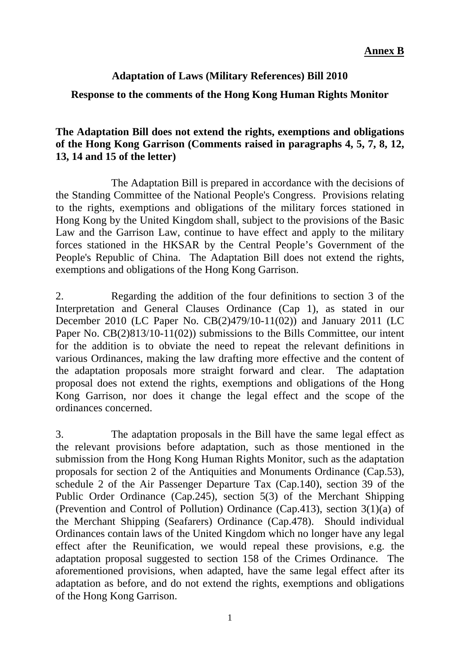# **Adaptation of Laws (Military References) Bill 2010**

## **Response to the comments of the Hong Kong Human Rights Monitor**

# **The Adaptation Bill does not extend the rights, exemptions and obligations of the Hong Kong Garrison (Comments raised in paragraphs 4, 5, 7, 8, 12, 13, 14 and 15 of the letter)**

The Adaptation Bill is prepared in accordance with the decisions of the Standing Committee of the National People's Congress. Provisions relating to the rights, exemptions and obligations of the military forces stationed in Hong Kong by the United Kingdom shall, subject to the provisions of the Basic Law and the Garrison Law, continue to have effect and apply to the military forces stationed in the HKSAR by the Central People's Government of the People's Republic of China. The Adaptation Bill does not extend the rights, exemptions and obligations of the Hong Kong Garrison.

2. Regarding the addition of the four definitions to section 3 of the Interpretation and General Clauses Ordinance (Cap 1), as stated in our December 2010 (LC Paper No. CB(2)479/10-11(02)) and January 2011 (LC Paper No. CB(2)813/10-11(02)) submissions to the Bills Committee, our intent for the addition is to obviate the need to repeat the relevant definitions in various Ordinances, making the law drafting more effective and the content of the adaptation proposals more straight forward and clear. The adaptation proposal does not extend the rights, exemptions and obligations of the Hong Kong Garrison, nor does it change the legal effect and the scope of the ordinances concerned.

3. The adaptation proposals in the Bill have the same legal effect as the relevant provisions before adaptation, such as those mentioned in the submission from the Hong Kong Human Rights Monitor, such as the adaptation proposals for section 2 of the Antiquities and Monuments Ordinance (Cap.53), schedule 2 of the Air Passenger Departure Tax (Cap.140), section 39 of the Public Order Ordinance (Cap.245), section 5(3) of the Merchant Shipping (Prevention and Control of Pollution) Ordinance (Cap.413), section 3(1)(a) of the Merchant Shipping (Seafarers) Ordinance (Cap.478). Should individual Ordinances contain laws of the United Kingdom which no longer have any legal effect after the Reunification, we would repeal these provisions, e.g. the adaptation proposal suggested to section 158 of the Crimes Ordinance. The aforementioned provisions, when adapted, have the same legal effect after its adaptation as before, and do not extend the rights, exemptions and obligations of the Hong Kong Garrison.